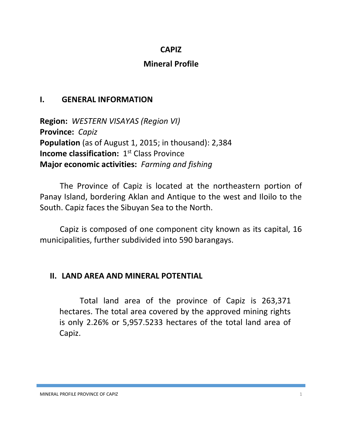### **CAPIZ**

### **Mineral Profile**

### **I. GENERAL INFORMATION**

**Region:** *WESTERN VISAYAS (Region VI)* **Province:** *Capiz* **Population** (as of August 1, 2015; in thousand): 2,384 **Income classification:** 1<sup>st</sup> Class Province **Major economic activities:** *Farming and fishing*

The Province of Capiz is located at the northeastern portion of Panay Island, bordering Aklan and Antique to the west and Iloilo to the South. Capiz faces the Sibuyan Sea to the North.

Capiz is composed of one component city known as its capital, 16 municipalities, further subdivided into 590 barangays.

### **II. LAND AREA AND MINERAL POTENTIAL**

Total land area of the province of Capiz is 263,371 hectares. The total area covered by the approved mining rights is only 2.26% or 5,957.5233 hectares of the total land area of Capiz.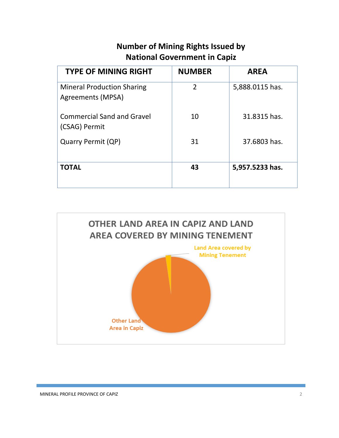# **Number of Mining Rights Issued by National Government in Capiz**

| <b>TYPE OF MINING RIGHT</b>                            | <b>NUMBER</b>  | <b>AREA</b>     |
|--------------------------------------------------------|----------------|-----------------|
| <b>Mineral Production Sharing</b><br>Agreements (MPSA) | $\overline{2}$ | 5,888.0115 has. |
| <b>Commercial Sand and Gravel</b><br>(CSAG) Permit     | 10             | 31.8315 has.    |
| Quarry Permit (QP)                                     | 31             | 37.6803 has.    |
| <b>TOTAL</b>                                           | 43             | 5,957.5233 has. |

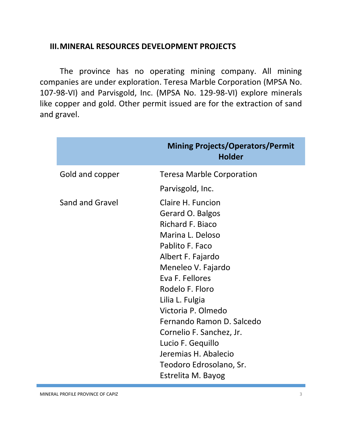### **III.MINERAL RESOURCES DEVELOPMENT PROJECTS**

The province has no operating mining company. All mining companies are under exploration. Teresa Marble Corporation (MPSA No. 107-98-VI) and Parvisgold, Inc. (MPSA No. 129-98-VI) explore minerals like copper and gold. Other permit issued are for the extraction of sand and gravel.

|                 | <b>Mining Projects/Operators/Permit</b><br><b>Holder</b>                                                                                                                                                                                                                                   |  |
|-----------------|--------------------------------------------------------------------------------------------------------------------------------------------------------------------------------------------------------------------------------------------------------------------------------------------|--|
| Gold and copper | <b>Teresa Marble Corporation</b>                                                                                                                                                                                                                                                           |  |
|                 | Parvisgold, Inc.                                                                                                                                                                                                                                                                           |  |
| Sand and Gravel | Claire H. Funcion<br>Gerard O. Balgos<br><b>Richard F. Biaco</b><br>Marina L. Deloso<br>Pablito F. Faco<br>Albert F. Fajardo<br>Meneleo V. Fajardo<br>Eva F. Fellores<br>Rodelo F. Floro<br>Lilia L. Fulgia<br>Victoria P. Olmedo<br>Fernando Ramon D. Salcedo<br>Cornelio F. Sanchez, Jr. |  |
|                 | Lucio F. Gequillo<br>Jeremias H. Abalecio                                                                                                                                                                                                                                                  |  |
|                 | Teodoro Edrosolano, Sr.                                                                                                                                                                                                                                                                    |  |
|                 | Estrelita M. Bayog                                                                                                                                                                                                                                                                         |  |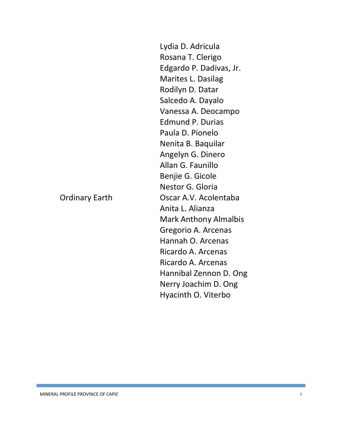Lydia D. Adricula Rosana T. Clerigo Edgardo P. Dadivas, Jr. Marites L. Dasilag Rodilyn D. Datar Salcedo A. Dayalo Vanessa A. Deocampo Edmund P. Durias Paula D. Pionelo Nenita B. Baquilar Angelyn G. Dinero Allan G. Faunillo Benjie G. Gicole Nestor G. Gloria Ordinary Earth Oscar A.V. Acolentaba Anita L. Alianza Mark Anthony Almalbis Gregorio A. Arcenas Hannah O. Arcenas Ricardo A. Arcenas Ricardo A. Arcenas Hannibal Zennon D. Ong Nerry Joachim D. Ong Hyacinth O. Viterbo